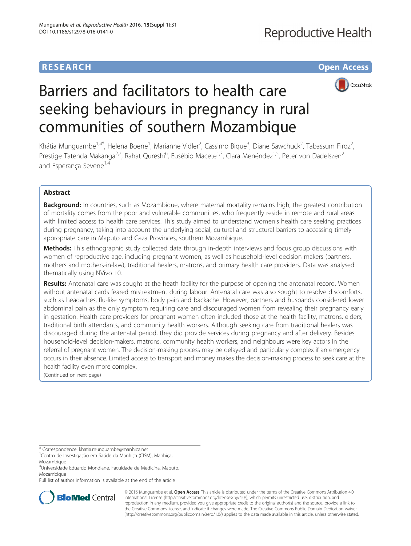# **RESEARCH CHE Open Access**



# Barriers and facilitators to health care seeking behaviours in pregnancy in rural communities of southern Mozambique

Khátia Munguambe<sup>1,4\*</sup>, Helena Boene<sup>1</sup>, Marianne Vidler<sup>2</sup>, Cassimo Bique<sup>3</sup>, Diane Sawchuck<sup>2</sup>, Tabassum Firoz<sup>2</sup> , Prestige Tatenda Makanga<sup>2,7</sup>, Rahat Qureshi<sup>6</sup>, Eusébio Macete<sup>1,3</sup>, Clara Menéndez<sup>1,5</sup>, Peter von Dadelszen<sup>2</sup> and Esperanca Sevene<sup>1,4</sup>

## Abstract

**Background:** In countries, such as Mozambique, where maternal mortality remains high, the greatest contribution of mortality comes from the poor and vulnerable communities, who frequently reside in remote and rural areas with limited access to health care services. This study aimed to understand women's health care seeking practices during pregnancy, taking into account the underlying social, cultural and structural barriers to accessing timely appropriate care in Maputo and Gaza Provinces, southern Mozambique.

Methods: This ethnographic study collected data through in-depth interviews and focus group discussions with women of reproductive age, including pregnant women, as well as household-level decision makers (partners, mothers and mothers-in-law), traditional healers, matrons, and primary health care providers. Data was analysed thematically using NVivo 10.

Results: Antenatal care was sought at the heath facility for the purpose of opening the antenatal record. Women without antenatal cards feared mistreatment during labour. Antenatal care was also sought to resolve discomforts, such as headaches, flu-like symptoms, body pain and backache. However, partners and husbands considered lower abdominal pain as the only symptom requiring care and discouraged women from revealing their pregnancy early in gestation. Health care providers for pregnant women often included those at the health facility, matrons, elders, traditional birth attendants, and community health workers. Although seeking care from traditional healers was discouraged during the antenatal period, they did provide services during pregnancy and after delivery. Besides household-level decision-makers, matrons, community health workers, and neighbours were key actors in the referral of pregnant women. The decision-making process may be delayed and particularly complex if an emergency occurs in their absence. Limited access to transport and money makes the decision-making process to seek care at the health facility even more complex.

(Continued on next page)

Full list of author information is available at the end of the article



© 2016 Munguambe et al. Open Access This article is distributed under the terms of the Creative Commons Attribution 4.0 International License [\(http://creativecommons.org/licenses/by/4.0/](http://creativecommons.org/licenses/by/4.0/)), which permits unrestricted use, distribution, and reproduction in any medium, provided you give appropriate credit to the original author(s) and the source, provide a link to the Creative Commons license, and indicate if changes were made. The Creative Commons Public Domain Dedication waiver [\(http://creativecommons.org/publicdomain/zero/1.0/](http://creativecommons.org/publicdomain/zero/1.0/)) applies to the data made available in this article, unless otherwise stated.

<sup>\*</sup> Correspondence: [khatia.munguambe@manhica.net](mailto:khatia.munguambe@manhica.net) <sup>1</sup>

<sup>&</sup>lt;sup>1</sup>Centro de Investigação em Saúde da Manhiça (CISM), Manhiça, Mozambique

<sup>4</sup> Universidade Eduardo Mondlane, Faculdade de Medicina, Maputo, Mozambique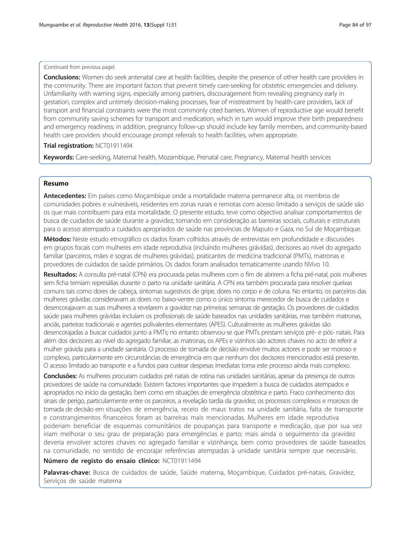#### (Continued from previous page)

**Conclusions:** Women do seek antenatal care at health facilities, despite the presence of other health care providers in the community. There are important factors that prevent timely care-seeking for obstetric emergencies and delivery. Unfamiliarity with warning signs, especially among partners, discouragement from revealing pregnancy early in gestation, complex and untimely decision-making processes, fear of mistreatment by health-care providers, lack of transport and financial constraints were the most commonly cited barriers. Women of reproductive age would benefit from community saving schemes for transport and medication, which in turn would improve their birth preparedness and emergency readiness; in addition, pregnancy follow-up should include key family members, and community-based health care providers should encourage prompt referrals to health facilities, when appropriate.

### Trial registration: [NCT01911494](https://clinicaltrials.gov/ct2/show/NCT01911494)

Keywords: Care-seeking, Maternal health, Mozambique, Prenatal care, Pregnancy, Maternal health services

## Resumo

Antecedentes: Em países como Moçambique onde a mortalidade materna permanece alta, os membros de comunidades pobres e vulneráveis, residentes em zonas rurais e remotas com acesso limitado a serviços de saúde são os que mais contribuem para esta mortalidade. O presente estudo, teve como objectivo analisar comportamentos de busca de cuidados de saúde durante a gravidez, tomando em consideração as barreiras sociais, culturais e estruturais para o acesso atempado a cuidados apropriados de saúde nas províncias de Maputo e Gaza, no Sul de Moçambique.

Métodos: Neste estudo etnográfico os dados foram colhidos através de entrevistas em profundidade e discussões em grupos focais com mulheres em idade reprodutiva (incluíndo mulheres grávidas), decisores ao nível do agregado familiar (parceiros, mães e sogras de mulheres grávidas), praticantes de medicina tradicional (PMTs), matronas e provedores de cuidados de saúde primários. Os dados foram analisados tematicamente usando NVivo 10.

Resultados: A consulta pré-natal (CPN) era procurada pelas mulheres com o fim de abrirem a ficha pré-natal, pois mulheres sem ficha temiam represálias durante o parto na unidade sanitária. A CPN era também procurada para resolver queixas comuns tais como dores de cabeça, sintomas sugestivos de gripe, dores no corpo e de coluna. No entanto, os parceiros das mulheres grávidas consideravam as dores no baixo-ventre como o único sintoma merecedor de busca de cuidados e desencorajavam as suas mulheres a revelarem a gravidez nas primeiras semanas de gestação. Os provedores de cuidados saúde para mulheres grávidas incluíam os profissionais de saúde baseados nas unidades sanitárias, mas também matronas, anciãs, parteiras tradicionais e agentes polivalentes elementares (APES). Culturalmente as mulheres grávidas são desencorajadas a buscar cuidados junto a PMTs; no entanto observou-se que PMTs prestam serviços pré- e pós- natais. Para além dos decisores ao nível do agregado familiar, as matronas, os APEs e vizinhos são actores chaves no acto de referir a mulher grávida para a unidade sanitária. O processo de tomada de decisão envolve muitos actores e pode ser moroso e complexo, particularmente em circunstâncias de emergência em que nenhum dos decisores mencionados está presente. O acesso limitado ao transporte e a fundos para custear despesas imediatas torna este processo ainda mais complexo.

Conclusões: As mulheres procuram cuidados pré natais de rotina nas unidades sanitárias, apesar da presença de outros provedores de saúde na comunidade. Existem factores importantes que impedem a busca de cuidados atempados e apropriados no início da gestação, bem como em situações de emergência obstétrica e parto. Fraco conhecimento dos sinais de perigo, particularmente entre os parceiros, a revelação tardia da gravidez, os processos complexos e morosos de tomada de decisão em situações de emergência, receio de maus tratos na unidade sanitária, falta de transporte e constrangimentos financeiros foram as barreiras mais mencionadas. Mulheres em idade reprodutiva poderiam beneficiar de esquemas comunitários de poupanças para transporte e medicação, que por sua vez iriam melhorar o seu grau de preparação para emergências e parto; mais ainda o seguimento da gravidez deveria envolver actores chaves no agregado familiar e vizinhança, bem como provedores de saúde baseados na comunidade, no sentido de encorajar referências atempadas à unidade sanitária sempre que necessário.

## Número de registo do ensaio clínico: [NCT01911494](https://www.clinicaltrials.goc/NCT01911494)

Palavras-chave: Busca de cuidados de saúde, Saúde materna, Moçambique, Cuidados pré-natais, Gravidez, Serviços de saúde materna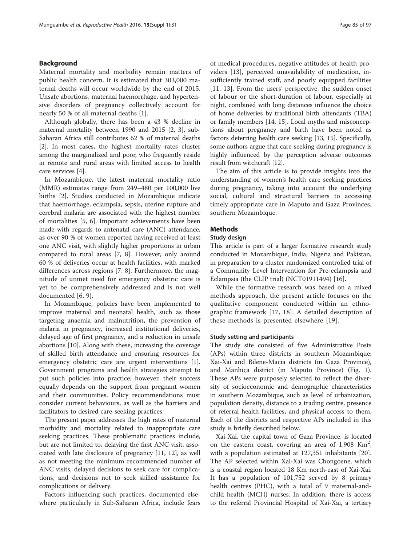#### Background

Maternal mortality and morbidity remain matters of public health concern. It is estimated that 303,000 maternal deaths will occur worldwide by the end of 2015. Unsafe abortions, maternal haemorrhage, and hypertensive disorders of pregnancy collectively account for nearly 50 % of all maternal deaths [[1\]](#page-13-0).

Although globally, there has been a 43 % decline in maternal mortality between 1990 and 2015 [[2, 3](#page-13-0)], sub-Saharan Africa still contributes 62 % of maternal deaths [[2\]](#page-13-0). In most cases, the highest mortality rates cluster among the marginalized and poor, who frequently reside in remote and rural areas with limited access to health care services [\[4](#page-13-0)].

In Mozambique, the latest maternal mortality ratio (MMR) estimates range from 249–480 per 100,000 live births [[2\]](#page-13-0). Studies conducted in Mozambique indicate that haemorrhage, eclampsia, sepsis, uterine rupture and cerebral malaria are associated with the highest number of mortalities [\[5](#page-13-0), [6](#page-13-0)]. Important achievements have been made with regards to antenatal care (ANC) attendance, as over 90 % of women reported having received at least one ANC visit, with slightly higher proportions in urban compared to rural areas [[7, 8\]](#page-13-0). However, only around 60 % of deliveries occur at health facilities, with marked differences across regions [\[7](#page-13-0), [8\]](#page-13-0). Furthermore, the magnitude of unmet need for emergency obstetric care is yet to be comprehensively addressed and is not well documented [[6, 9\]](#page-13-0).

In Mozambique, policies have been implemented to improve maternal and neonatal health, such as those targeting anaemia and malnutrition, the prevention of malaria in pregnancy, increased institutional deliveries, delayed age of first pregnancy, and a reduction in unsafe abortions [\[10](#page-13-0)]. Along with these, increasing the coverage of skilled birth attendance and ensuring resources for emergency obstetric care are urgent interventions [\[1](#page-13-0)]. Government programs and health strategies attempt to put such policies into practice; however, their success equally depends on the support from pregnant women and their communities. Policy recommendations must consider current behaviours, as well as the barriers and facilitators to desired care-seeking practices.

The present paper addresses the high rates of maternal morbidity and mortality related to inappropriate care seeking practices. These problematic practices include, but are not limited to, delaying the first ANC visit, associated with late disclosure of pregnancy [\[11](#page-13-0), [12\]](#page-13-0), as well as not meeting the minimum recommended number of ANC visits, delayed decisions to seek care for complications, and decisions not to seek skilled assistance for complications or delivery.

Factors influencing such practices, documented elsewhere particularly in Sub-Saharan Africa, include fears of medical procedures, negative attitudes of health providers [\[13](#page-13-0)], perceived unavailability of medication, insufficiently trained staff, and poorly equipped facilities [[11, 13\]](#page-13-0). From the users' perspective, the sudden onset of labour or the short-duration of labour, especially at night, combined with long distances influence the choice of home deliveries by traditional birth attendants (TBA) or family members [\[14, 15\]](#page-13-0). Local myths and misconceptions about pregnancy and birth have been noted as factors deterring health care seeking [[13](#page-13-0), [15\]](#page-13-0). Specifically, some authors argue that care-seeking during pregnancy is highly influenced by the perception adverse outcomes result from witchcraft [\[12](#page-13-0)].

The aim of this article is to provide insights into the understanding of women's health care seeking practices during pregnancy, taking into account the underlying social, cultural and structural barriers to accessing timely appropriate care in Maputo and Gaza Provinces, southern Mozambique.

#### Methods

#### Study design

This article is part of a larger formative research study conducted in Mozambique, India, Nigeria and Pakistan, in preparation to a cluster randomized controlled trial of a Community Level Intervention for Pre-eclampsia and Eclampsia (the CLIP trial) (NCT01911494) [[16\]](#page-13-0).

While the formative research was based on a mixed methods approach, the present article focuses on the qualitative component conducted within an ethnographic framework [[17, 18](#page-13-0)]. A detailed description of these methods is presented elsewhere [[19\]](#page-13-0).

#### Study setting and participants

The study site consisted of five Administrative Posts (APs) within three districts in southern Mozambique: Xai-Xai and Bilene-Macia districts (in Gaza Province), and Manhiça district (in Maputo Province) (Fig. [1](#page-3-0)). These APs were purposely selected to reflect the diversity of socioeconomic and demographic characteristics in southern Mozambique, such as level of urbanization, population density, distance to a trading centre, presence of referral health facilities, and physical access to them. Each of the districts and respective APs included in this study is briefly described below.

Xai-Xai, the capital town of Gaza Province, is located on the eastern coast, covering an area of  $1,908$  Km<sup>2</sup>, with a population estimated at 127,351 inhabitants [\[20](#page-13-0)]. The AP selected within Xai-Xai was Chongoene, which is a coastal region located 18 Km north-east of Xai-Xai. It has a population of 101,752 served by 8 primary health centres (PHC), with a total of 9 maternal-andchild health (MCH) nurses. In addition, there is access to the referral Provincial Hospital of Xai-Xai, a tertiary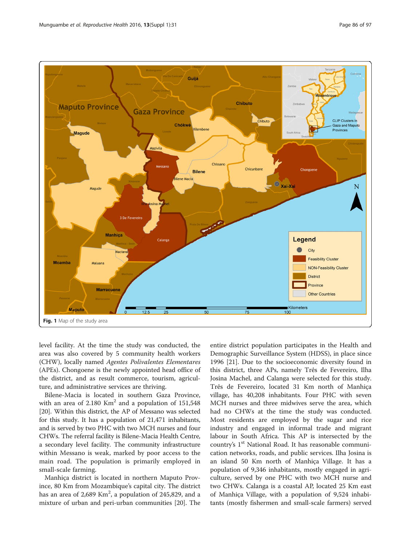<span id="page-3-0"></span>

level facility. At the time the study was conducted, the area was also covered by 5 community health workers (CHW), locally named Agentes Polivalentes Elementares (APEs). Chongoene is the newly appointed head office of the district, and as result commerce, tourism, agriculture, and administrative services are thriving.

Bilene-Macia is located in southern Gaza Province, with an area of  $2.180$  Km<sup>2</sup> and a population of  $151,548$ [[20\]](#page-13-0). Within this district, the AP of Messano was selected for this study. It has a population of 21,471 inhabitants, and is served by two PHC with two MCH nurses and four CHWs. The referral facility is Bilene-Macia Health Centre, a secondary level facility. The community infrastructure within Messano is weak, marked by poor access to the main road. The population is primarily employed in small-scale farming.

Manhiça district is located in northern Maputo Province, 80 Km from Mozambique's capital city. The district has an area of 2,689 Km<sup>2</sup>, a population of 245,829, and a mixture of urban and peri-urban communities [[20\]](#page-13-0). The

entire district population participates in the Health and Demographic Surveillance System (HDSS), in place since 1996 [\[21](#page-13-0)]. Due to the socioeconomic diversity found in this district, three APs, namely Três de Fevereiro, Ilha Josina Machel, and Calanga were selected for this study. Três de Fevereiro, located 31 Km north of Manhiça village, has 40,208 inhabitants. Four PHC with seven MCH nurses and three midwives serve the area, which had no CHWs at the time the study was conducted. Most residents are employed by the sugar and rice industry and engaged in informal trade and migrant labour in South Africa. This AP is intersected by the country's 1<sup>st</sup> National Road. It has reasonable communication networks, roads, and public services. Ilha Josina is an island 50 Km north of Manhiça Village. It has a population of 9,346 inhabitants, mostly engaged in agriculture, served by one PHC with two MCH nurse and two CHWs. Calanga is a coastal AP, located 25 Km east of Manhiça Village, with a population of 9,524 inhabitants (mostly fishermen and small-scale farmers) served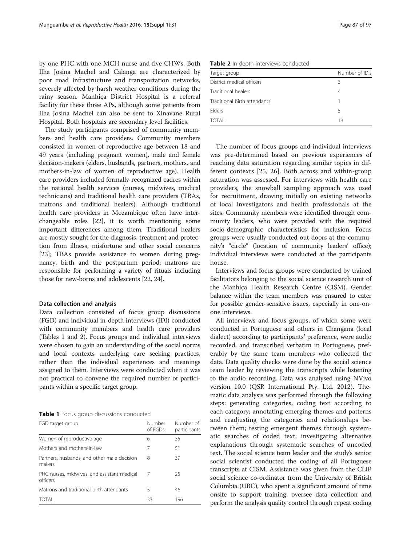<span id="page-4-0"></span>by one PHC with one MCH nurse and five CHWs. Both Ilha Josina Machel and Calanga are characterized by poor road infrastructure and transportation networks, severely affected by harsh weather conditions during the rainy season. Manhiça District Hospital is a referral facility for these three APs, although some patients from Ilha Josina Machel can also be sent to Xinavane Rural Hospital. Both hospitals are secondary level facilities.

The study participants comprised of community members and health care providers. Community members consisted in women of reproductive age between 18 and 49 years (including pregnant women), male and female decision-makers (elders, husbands, partners, mothers, and mothers-in-law of women of reproductive age). Health care providers included formally-recognized cadres within the national health services (nurses, midwives, medical technicians) and traditional health care providers (TBAs, matrons and traditional healers). Although traditional health care providers in Mozambique often have interchangeable roles [\[22](#page-13-0)], it is worth mentioning some important differences among them. Traditional healers are mostly sought for the diagnosis, treatment and protection from illness, misfortune and other social concerns [[23](#page-13-0)]; TBAs provide assistance to women during pregnancy, birth and the postpartum period; matrons are responsible for performing a variety of rituals including those for new-borns and adolescents [[22](#page-13-0), [24\]](#page-13-0).

#### Data collection and analysis

Data collection consisted of focus group discussions (FGD) and individual in-depth interviews (IDI) conducted with community members and health care providers (Tables 1 and 2). Focus groups and individual interviews were chosen to gain an understanding of the social norms and local contexts underlying care seeking practices, rather than the individual experiences and meanings assigned to them. Interviews were conducted when it was not practical to convene the required number of participants within a specific target group.

Table 1 Focus group discussions conducted

| FGD target group                                        | Number<br>of FGDs | Number of<br>participants |
|---------------------------------------------------------|-------------------|---------------------------|
| Women of reproductive age                               | 6                 | 35                        |
| Mothers and mothers-in-law                              | 7                 | 51                        |
| Partners, husbands, and other male decision<br>makers   | 8                 | 39                        |
| PHC nurses, midwives, and assistant medical<br>officers | 7                 | 25                        |
| Matrons and traditional birth attendants                | 5                 | 46                        |
| TOTAI                                                   | 33                | 196                       |

Table 2 In-depth interviews conducted

| Target group                 | Number of IDIs |
|------------------------------|----------------|
| District medical officers    | Β              |
| Traditional healers          | 4              |
| Traditional birth attendants |                |
| <b>Flders</b>                | 5              |
| TOTAI                        | 13             |

The number of focus groups and individual interviews was pre-determined based on previous experiences of reaching data saturation regarding similar topics in different contexts [[25, 26\]](#page-13-0). Both across and within-group saturation was assessed. For interviews with health care providers, the snowball sampling approach was used for recruitment, drawing initially on existing networks of local investigators and health professionals at the sites. Community members were identified through community leaders, who were provided with the required socio-demographic characteristics for inclusion. Focus groups were usually conducted out-doors at the community's "circle" (location of community leaders' office); individual interviews were conducted at the participants house.

Interviews and focus groups were conducted by trained facilitators belonging to the social science research unit of the Manhiça Health Research Centre (CISM). Gender balance within the team members was ensured to cater for possible gender-sensitive issues, especially in one-onone interviews.

All interviews and focus groups, of which some were conducted in Portuguese and others in Changana (local dialect) according to participants' preference, were audio recorded, and transcribed verbatim in Portuguese, preferably by the same team members who collected the data. Data quality checks were done by the social science team leader by reviewing the transcripts while listening to the audio recording. Data was analysed using NVivo version 10.0 (QSR International Pty. Ltd. 2012). Thematic data analysis was performed through the following steps: generating categories, coding text according to each category; annotating emerging themes and patterns and readjusting the categories and relationships between them; testing emergent themes through systematic searches of coded text; investigating alternative explanations through systematic searches of uncoded text. The social science team leader and the study's senior social scientist conducted the coding of all Portuguese transcripts at CISM. Assistance was given from the CLIP social science co-ordinator from the University of British Columbia (UBC), who spent a significant amount of time onsite to support training, oversee data collection and perform the analysis quality control through repeat coding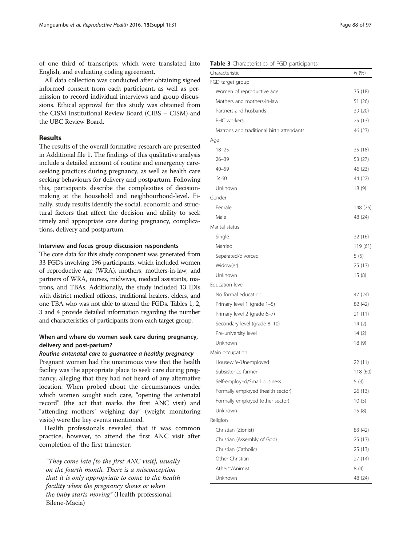of one third of transcripts, which were translated into English, and evaluating coding agreement.

All data collection was conducted after obtaining signed informed consent from each participant, as well as permission to record individual interviews and group discussions. Ethical approval for this study was obtained from the CISM Institutional Review Board (CIBS – CISM) and the UBC Review Board.

#### Results

The results of the overall formative research are presented in Additional file [1](#page-12-0). The findings of this qualitative analysis include a detailed account of routine and emergency careseeking practices during pregnancy, as well as health care seeking behaviours for delivery and postpartum. Following this, participants describe the complexities of decisionmaking at the household and neighbourhood-level. Finally, study results identify the social, economic and structural factors that affect the decision and ability to seek timely and appropriate care during pregnancy, complications, delivery and postpartum.

## Interview and focus group discussion respondents

The core data for this study component was generated from 33 FGDs involving 196 participants, which included women of reproductive age (WRA), mothers, mothers-in-law, and partners of WRA, nurses, midwives, medical assistants, matrons, and TBAs. Additionally, the study included 13 IDIs with district medical officers, traditional healers, elders, and one TBA who was not able to attend the FGDs. Tables [1, 2](#page-4-0), 3 and [4](#page-6-0) provide detailed information regarding the number and characteristics of participants from each target group.

## When and where do women seek care during pregnancy, delivery and post-partum?

#### Routine antenatal care to guarantee a healthy pregnancy

Pregnant women had the unanimous view that the health facility was the appropriate place to seek care during pregnancy, alleging that they had not heard of any alternative location. When probed about the circumstances under which women sought such care, "opening the antenatal record" (the act that marks the first ANC visit) and "attending mothers' weighing day" (weight monitoring visits) were the key events mentioned.

Health professionals revealed that it was common practice, however, to attend the first ANC visit after completion of the first trimester.

"They come late  $[$  to the first ANC visit $]$ , usually on the fourth month. There is a misconception that it is only appropriate to come to the health facility when the pregnancy shows or when the baby starts moving" (Health professional, Bilene-Macia)

## Table 3 Characteristics of FGD participants

| Characteristic                           |          |  |  |  |
|------------------------------------------|----------|--|--|--|
| FGD target group                         |          |  |  |  |
| Women of reproductive age                | 35 (18)  |  |  |  |
| Mothers and mothers-in-law               | 51 (26)  |  |  |  |
| Partners and husbands                    | 39(20)   |  |  |  |
| PHC workers                              | 25 (13)  |  |  |  |
| Matrons and traditional birth attendants | 46 (23)  |  |  |  |
| Age                                      |          |  |  |  |
| $18 - 25$                                | 35 (18)  |  |  |  |
| $26 - 39$                                | 53 (27)  |  |  |  |
| $40 - 59$                                | 46 (23)  |  |  |  |
| $\geq 60$                                | 44 (22)  |  |  |  |
| Unknown                                  | 18(9)    |  |  |  |
| Gender                                   |          |  |  |  |
| Female                                   | 148 (76) |  |  |  |
| Male                                     | 48 (24)  |  |  |  |
| Marital status                           |          |  |  |  |
| Single                                   | 32(16)   |  |  |  |
| Married                                  | 119 (61) |  |  |  |
| Separated/divorced                       | 5(5)     |  |  |  |
| Widow(er)                                | 25 (13)  |  |  |  |
| Unknown                                  | 15(8)    |  |  |  |
| Education level                          |          |  |  |  |
| No formal education                      | 47 (24)  |  |  |  |
| Primary level 1 (grade 1-5)              | 82 (42)  |  |  |  |
| Primary level 2 (grade 6-7)              | 21 (11)  |  |  |  |
| Secondary level (grade 8-10)             | 14 $(2)$ |  |  |  |
| Pre-university level                     | 14(2)    |  |  |  |
| Unknown                                  | 18 (9)   |  |  |  |
| Main occupation                          |          |  |  |  |
| Housewife/Unemployed                     | 22 (11)  |  |  |  |
| Subsistence farmer                       | 118 (60) |  |  |  |
| Self-employed/Small business             | 5(3)     |  |  |  |
| Formally employed (health sector)        | 26 (13)  |  |  |  |
| Formally employed (other sector)         | 10(5)    |  |  |  |
| Unknown                                  | 15(8)    |  |  |  |
| Religion                                 |          |  |  |  |
| Christian (Zionist)                      | 83 (42)  |  |  |  |
| Christian (Assembly of God)              | 25(13)   |  |  |  |
| Christian (Catholic)                     | 25 (13)  |  |  |  |
| Other Christian                          | 27 (14)  |  |  |  |
| Atheist/Animist                          | 8 (4)    |  |  |  |
| Unknown                                  | 48 (24)  |  |  |  |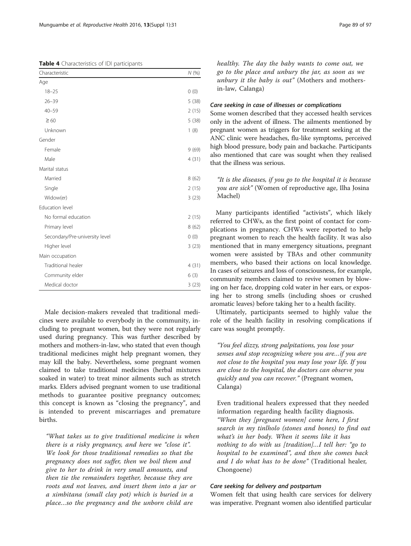<span id="page-6-0"></span>Table 4 Characteristics of IDI participants

| Characteristic                 | N(%)  |  |  |  |
|--------------------------------|-------|--|--|--|
| Age                            |       |  |  |  |
| $18 - 25$                      | (0)   |  |  |  |
| $26 - 39$                      | 5(38) |  |  |  |
| $40 - 59$                      | 2(15) |  |  |  |
| $\geq 60$                      | 5(38) |  |  |  |
| Unknown                        | 1(8)  |  |  |  |
| Gender                         |       |  |  |  |
| Female                         | 9(69) |  |  |  |
| Male                           | 4(31) |  |  |  |
| Marital status                 |       |  |  |  |
| Married                        | 8(62) |  |  |  |
| Single                         | 2(15) |  |  |  |
| Widow(er)                      | 3(23) |  |  |  |
| Education level                |       |  |  |  |
| No formal education            | 2(15) |  |  |  |
| Primary level                  | 8(62) |  |  |  |
| Secondary/Pre-university level | (0)   |  |  |  |
| Higher level                   | 3(23) |  |  |  |
| Main occupation                |       |  |  |  |
| Traditional healer             |       |  |  |  |
| Community elder                | 6(3)  |  |  |  |
| Medical doctor                 | 3(23) |  |  |  |

Male decision-makers revealed that traditional medicines were available to everybody in the community, including to pregnant women, but they were not regularly used during pregnancy. This was further described by mothers and mothers-in-law, who stated that even though traditional medicines might help pregnant women, they may kill the baby. Nevertheless, some pregnant women claimed to take traditional medicines (herbal mixtures soaked in water) to treat minor ailments such as stretch marks. Elders advised pregnant women to use traditional methods to guarantee positive pregnancy outcomes; this concept is known as "closing the pregnancy", and is intended to prevent miscarriages and premature births.

"What takes us to give traditional medicine is when there is a risky pregnancy, and here we "close it". We look for those traditional remedies so that the pregnancy does not suffer, then we boil them and give to her to drink in very small amounts, and then tie the remainders together, because they are roots and not leaves, and insert them into a jar or a ximbitana (small clay pot) which is buried in a place…so the pregnancy and the unborn child are

healthy. The day the baby wants to come out, we go to the place and unbury the jar, as soon as we unbury it the baby is out" (Mothers and mothersin-law, Calanga)

## Care seeking in case of illnesses or complications

Some women described that they accessed health services only in the advent of illness. The ailments mentioned by pregnant women as triggers for treatment seeking at the ANC clinic were headaches, flu-like symptoms, perceived high blood pressure, body pain and backache. Participants also mentioned that care was sought when they realised that the illness was serious.

## "It is the diseases, if you go to the hospital it is because you are sick" (Women of reproductive age, Ilha Josina Machel)

Many participants identified "activists", which likely referred to CHWs, as the first point of contact for complications in pregnancy. CHWs were reported to help pregnant women to reach the health facility. It was also mentioned that in many emergency situations, pregnant women were assisted by TBAs and other community members, who based their actions on local knowledge. In cases of seizures and loss of consciousness, for example, community members claimed to revive women by blowing on her face, dropping cold water in her ears, or exposing her to strong smells (including shoes or crushed aromatic leaves) before taking her to a health facility.

Ultimately, participants seemed to highly value the role of the health facility in resolving complications if care was sought promptly.

"You feel dizzy, strong palpitations, you lose your senses and stop recognizing where you are…if you are not close to the hospital you may lose your life. If you are close to the hospital, the doctors can observe you quickly and you can recover." (Pregnant women, Calanga)

Even traditional healers expressed that they needed information regarding health facility diagnosis. "When they [pregnant women] come here, I first search in my tinlholo (stones and bones) to find out what's in her body. When it seems like it has nothing to do with us [tradition]…I tell her: "go to hospital to be examined", and then she comes back and I do what has to be done" (Traditional healer, Chongoene)

## Care seeking for delivery and postpartum

Women felt that using health care services for delivery was imperative. Pregnant women also identified particular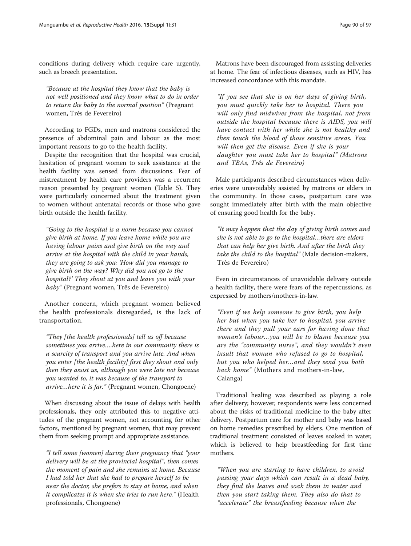conditions during delivery which require care urgently, such as breech presentation.

"Because at the hospital they know that the baby is not well positioned and they know what to do in order to return the baby to the normal position" (Pregnant women, Três de Fevereiro)

According to FGDs, men and matrons considered the presence of abdominal pain and labour as the most important reasons to go to the health facility.

Despite the recognition that the hospital was crucial, hesitation of pregnant women to seek assistance at the health facility was sensed from discussions. Fear of mistreatment by health care providers was a recurrent reason presented by pregnant women (Table [5\)](#page-8-0). They were particularly concerned about the treatment given to women without antenatal records or those who gave birth outside the health facility.

"Going to the hospital is a norm because you cannot give birth at home. If you leave home while you are having labour pains and give birth on the way and arrive at the hospital with the child in your hands, they are going to ask you: 'How did you manage to give birth on the way? Why did you not go to the hospital?' They shout at you and leave you with your baby" (Pregnant women, Três de Fevereiro)

Another concern, which pregnant women believed the health professionals disregarded, is the lack of transportation.

"They [the health professionals] tell us off because sometimes you arrive….here in our community there is a scarcity of transport and you arrive late. And when you enter [the health facility] first they shout and only then they assist us, although you were late not because you wanted to, it was because of the transport to arrive…here it is far." (Pregnant women, Chongoene)

When discussing about the issue of delays with health professionals, they only attributed this to negative attitudes of the pregnant women, not accounting for other factors, mentioned by pregnant women, that may prevent them from seeking prompt and appropriate assistance.

"I tell some [women] during their pregnancy that "your delivery will be at the provincial hospital", then comes the moment of pain and she remains at home. Because I had told her that she had to prepare herself to be near the doctor, she prefers to stay at home, and when it complicates it is when she tries to run here." (Health professionals, Chongoene)

Matrons have been discouraged from assisting deliveries at home. The fear of infectious diseases, such as HIV, has increased concordance with this mandate.

"If you see that she is on her days of giving birth, you must quickly take her to hospital. There you will only find midwives from the hospital, not from outside the hospital because there is AIDS, you will have contact with her while she is not healthy and then touch the blood of those sensitive areas. You will then get the disease. Even if she is your daughter you must take her to hospital" (Matrons and TBAs, Três de Fevereiro)

Male participants described circumstances when deliveries were unavoidably assisted by matrons or elders in the community. In those cases, postpartum care was sought immediately after birth with the main objective of ensuring good health for the baby.

"It may happen that the day of giving birth comes and she is not able to go to the hospital…there are elders that can help her give birth. And after the birth they take the child to the hospital" (Male decision-makers, Três de Fevereiro)

Even in circumstances of unavoidable delivery outside a health facility, there were fears of the repercussions, as expressed by mothers/mothers-in-law.

"Even if we help someone to give birth, you help her but when you take her to hospital, you arrive there and they pull your ears for having done that woman's labour…you will be to blame because you are the "community nurse", and they wouldn't even insult that woman who refused to go to hospital, but you who helped her…and they send you both back home" (Mothers and mothers-in-law, Calanga)

Traditional healing was described as playing a role after delivery; however, respondents were less concerned about the risks of traditional medicine to the baby after delivery. Postpartum care for mother and baby was based on home remedies prescribed by elders. One mention of traditional treatment consisted of leaves soaked in water, which is believed to help breastfeeding for first time mothers.

"When you are starting to have children, to avoid passing your days which can result in a dead baby, they find the leaves and soak them in water and then you start taking them. They also do that to "accelerate" the breastfeeding because when the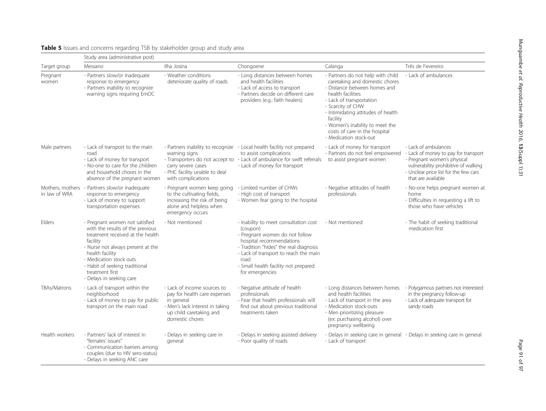| Target group                      | Study area (administrative post)                                                                                                                                                                                                                                                       |                                                                                                                                                            |                                                                                                                                                                                                                                                                       |                                                                                                                                                                                                                                                                                                                           |                                                                                                                                                                                                    |
|-----------------------------------|----------------------------------------------------------------------------------------------------------------------------------------------------------------------------------------------------------------------------------------------------------------------------------------|------------------------------------------------------------------------------------------------------------------------------------------------------------|-----------------------------------------------------------------------------------------------------------------------------------------------------------------------------------------------------------------------------------------------------------------------|---------------------------------------------------------------------------------------------------------------------------------------------------------------------------------------------------------------------------------------------------------------------------------------------------------------------------|----------------------------------------------------------------------------------------------------------------------------------------------------------------------------------------------------|
|                                   | Messano                                                                                                                                                                                                                                                                                | Ilha Josina                                                                                                                                                | Chongoene                                                                                                                                                                                                                                                             | Calanga                                                                                                                                                                                                                                                                                                                   | Três de Fevereiro                                                                                                                                                                                  |
| Pregnant<br>women                 | - Partners slow/or inadequate<br>response to emergency<br>- Partners inability to recognize<br>warning signs requiring EmOC                                                                                                                                                            | - Weather conditions<br>deteriorate quality of roads                                                                                                       | - Long distances between homes<br>and health facilities<br>- Lack of access to transport<br>- Partners decide on different care<br>providers (e.g.: faith healers)                                                                                                    | - Partners do not help with child<br>caretaking and domestic chores<br>- Distance between homes and<br>health facilities<br>- Lack of transportation<br>- Scarcity of CHW<br>- Intimidating attitudes of health<br>facility<br>- Women's inability to meet the<br>costs of care in the hospital<br>- Medication stock-out | - Lack of ambulances                                                                                                                                                                               |
| Male partners                     | - Lack of transport to the main<br>road<br>- Lack of money for transport<br>- No-one to care for the children<br>and household chores in the<br>absence of the pregnant women                                                                                                          | warning signs<br>carry severe cases<br>- PHC facility unable to deal<br>with complications                                                                 | - Partners inability to recognize - Local health facility not prepared<br>to assist complications<br>- Transporters do not accept to - Lack of ambulance for swift referrals<br>- Lack of money for transport                                                         | - Lack of money for transport<br>- Partners do not feel empowered<br>to assist pregnant women                                                                                                                                                                                                                             | - Lack of ambulances<br>- Lack of money to pay for transport<br>- Pregnant women's physical<br>vulnerability prohibitive of walking<br>- Unclear price list for the few cars<br>that are available |
| Mothers, mothers<br>in law of WRA | - Partners slow/or inadequate<br>response to emergency<br>- Lack of money to support<br>transportation expenses                                                                                                                                                                        | - Pregnant women keep going<br>to the cultivating fields,<br>increasing the risk of being<br>alone and helpless when<br>emergency occurs                   | - Limited number of CHWs<br>- High cost of transport<br>- Women fear going to the hospital                                                                                                                                                                            | - Negative attitudes of health<br>professionals                                                                                                                                                                                                                                                                           | - No-one helps pregnant women at<br>home<br>- Difficulties in requesting a lift to<br>those who have vehicles                                                                                      |
| Elders                            | - Pregnant women not satisfied<br>with the results of the previous<br>treatment received at the health<br>facility<br>- Nurse not always present at the<br>health facility<br>- Medication stock outs<br>- Habit of seeking traditional<br>treatment first<br>- Delays in seeking care | - Not mentioned                                                                                                                                            | - Inability to meet consultation cost<br>(coupon)<br>- Pregnant women do not follow<br>hospital recommendations<br>- Tradition "hides" the real diagnosis<br>- Lack of transport to reach the main<br>road<br>- Small health facility not prepared<br>for emergencies | - Not mentioned                                                                                                                                                                                                                                                                                                           | - The habit of seeking traditional<br>medication first                                                                                                                                             |
| <b>TBAs/Matrons</b>               | - Lack of transport within the<br>neighborhood<br>- Lack of money to pay for public<br>transport on the main road                                                                                                                                                                      | - Lack of income sources to<br>pay for health care expenses<br>in general<br>- Men's lack interest in taking<br>up child caretaking and<br>domestic chores | - Negative attitude of health<br>professionals<br>- Fear that health professionals will<br>find out about previous traditional<br>treatments taken                                                                                                                    | - Long distances between homes<br>and health facilities<br>- Lack of transport in the area<br>- Medication stock-outs<br>- Men prioritizing pleasure<br>(ex: purchasing alcohol) over<br>pregnancy wellbeing                                                                                                              | - Polygamous partners not interested<br>in the pregnancy follow-up<br>- Lack of adequate transport for<br>sandy roads                                                                              |
| Health workers                    | - Partners' lack of interest in<br>"females' issues"<br>- Communication barriers among<br>couples (due to HIV sero-status)<br>- Delays in seeking ANC care                                                                                                                             | - Delays in seeking care in<br>general                                                                                                                     | - Delays in seeking assisted delivery<br>- Poor quality of roads                                                                                                                                                                                                      | - Lack of transport                                                                                                                                                                                                                                                                                                       | - Delays in seeking care in general - Delays in seeking care in general                                                                                                                            |

## <span id="page-8-0"></span>Table 5 Issues and concerns regarding TSB by stakeholder group and study area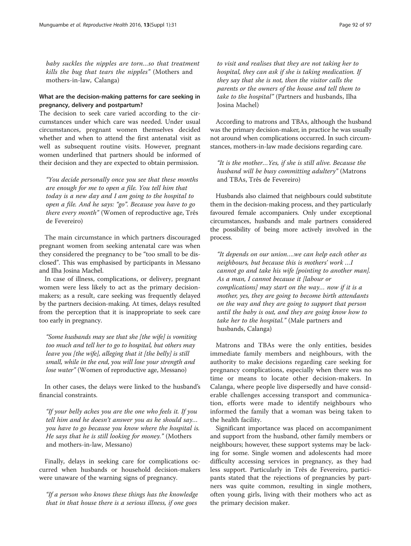baby suckles the nipples are torn…so that treatment kills the bug that tears the nipples" (Mothers and mothers-in-law, Calanga)

## What are the decision-making patterns for care seeking in pregnancy, delivery and postpartum?

The decision to seek care varied according to the circumstances under which care was needed. Under usual circumstances, pregnant women themselves decided whether and when to attend the first antenatal visit as well as subsequent routine visits. However, pregnant women underlined that partners should be informed of their decision and they are expected to obtain permission.

"You decide personally once you see that these months are enough for me to open a file. You tell him that today is a new day and I am going to the hospital to open a file. And he says: "go". Because you have to go there every month" (Women of reproductive age, Três de Fevereiro)

The main circumstance in which partners discouraged pregnant women from seeking antenatal care was when they considered the pregnancy to be "too small to be disclosed". This was emphasised by participants in Messano and Ilha Josina Machel.

In case of illness, complications, or delivery, pregnant women were less likely to act as the primary decisionmakers; as a result, care seeking was frequently delayed by the partners decision-making. At times, delays resulted from the perception that it is inappropriate to seek care too early in pregnancy.

"Some husbands may see that she [the wife] is vomiting too much and tell her to go to hospital, but others may leave you [the wife], alleging that it [the belly] is still small, while in the end, you will lose your strength and lose water" (Women of reproductive age, Messano)

In other cases, the delays were linked to the husband's financial constraints.

"If your belly aches you are the one who feels it. If you tell him and he doesn't answer you as he should say… you have to go because you know where the hospital is. He says that he is still looking for money." (Mothers and mothers-in-law, Messano)

Finally, delays in seeking care for complications occurred when husbands or household decision-makers were unaware of the warning signs of pregnancy.

"If a person who knows these things has the knowledge that in that house there is a serious illness, if one goes

to visit and realises that they are not taking her to hospital, they can ask if she is taking medication. If they say that she is not, then the visitor calls the parents or the owners of the house and tell them to take to the hospital" (Partners and husbands, Ilha Josina Machel)

According to matrons and TBAs, although the husband was the primary decision-maker, in practice he was usually not around when complications occurred. In such circumstances, mothers-in-law made decisions regarding care.

"It is the mother…Yes, if she is still alive. Because the husband will be busy committing adultery" (Matrons and TBAs, Três de Fevereiro)

Husbands also claimed that neighbours could substitute them in the decision-making process, and they particularly favoured female accompaniers. Only under exceptional circumstances, husbands and male partners considered the possibility of being more actively involved in the process.

"It depends on our union….we can help each other as neighbours, but because this is mothers' work …I cannot go and take his wife [pointing to another man]. As a man, I cannot because it [labour or complications] may start on the way… now if it is a mother, yes, they are going to become birth attendants on the way and they are going to support that person until the baby is out, and they are going know how to take her to the hospital." (Male partners and husbands, Calanga)

Matrons and TBAs were the only entities, besides immediate family members and neighbours, with the authority to make decisions regarding care seeking for pregnancy complications, especially when there was no time or means to locate other decision-makers. In Calanga, where people live dispersedly and have considerable challenges accessing transport and communication, efforts were made to identify neighbours who informed the family that a woman was being taken to the health facility.

Significant importance was placed on accompaniment and support from the husband, other family members or neighbours; however, these support systems may be lacking for some. Single women and adolescents had more difficulty accessing services in pregnancy, as they had less support. Particularly in Três de Fevereiro, participants stated that the rejections of pregnancies by partners was quite common, resulting in single mothers, often young girls, living with their mothers who act as the primary decision maker.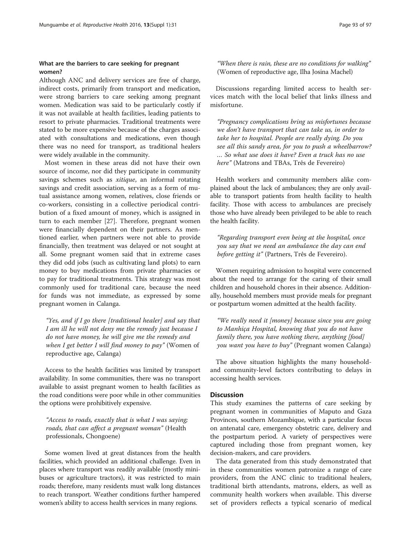## What are the barriers to care seeking for pregnant women?

Although ANC and delivery services are free of charge, indirect costs, primarily from transport and medication, were strong barriers to care seeking among pregnant women. Medication was said to be particularly costly if it was not available at health facilities, leading patients to resort to private pharmacies. Traditional treatments were stated to be more expensive because of the charges associated with consultations and medications, even though there was no need for transport, as traditional healers were widely available in the community.

Most women in these areas did not have their own source of income, nor did they participate in community savings schemes such as *xitique*, an informal rotating savings and credit association, serving as a form of mutual assistance among women, relatives, close friends or co-workers, consisting in a collective periodical contribution of a fixed amount of money, which is assigned in turn to each member [\[27](#page-13-0)]. Therefore, pregnant women were financially dependent on their partners. As mentioned earlier, when partners were not able to provide financially, then treatment was delayed or not sought at all. Some pregnant women said that in extreme cases they did odd jobs (such as cultivating land plots) to earn money to buy medications from private pharmacies or to pay for traditional treatments. This strategy was most commonly used for traditional care, because the need for funds was not immediate, as expressed by some pregnant women in Calanga.

"Yes, and if I go there [traditional healer] and say that I am ill he will not deny me the remedy just because I do not have money, he will give me the remedy and when I get better I will find money to pay" (Women of reproductive age, Calanga)

Access to the health facilities was limited by transport availability. In some communities, there was no transport available to assist pregnant women to health facilities as the road conditions were poor while in other communities the options were prohibitively expensive.

"Access to roads, exactly that is what I was saying; roads, that can affect a pregnant woman" (Health professionals, Chongoene)

Some women lived at great distances from the health facilities, which provided an additional challenge. Even in places where transport was readily available (mostly minibuses or agriculture tractors), it was restricted to main roads; therefore, many residents must walk long distances to reach transport. Weather conditions further hampered women's ability to access health services in many regions.

"When there is rain, these are no conditions for walking" (Women of reproductive age, Ilha Josina Machel)

Discussions regarding limited access to health services match with the local belief that links illness and misfortune.

"Pregnancy complications bring us misfortunes because we don't have transport that can take us, in order to take her to hospital. People are really dying. Do you see all this sandy area, for you to push a wheelbarrow? … So what use does it have? Even a truck has no use here" (Matrons and TBAs, Três de Fevereiro)

Health workers and community members alike complained about the lack of ambulances; they are only available to transport patients from health facility to health facility. Those with access to ambulances are precisely those who have already been privileged to be able to reach the health facility.

"Regarding transport even being at the hospital, once you say that we need an ambulance the day can end before getting it" (Partners, Três de Fevereiro).

Women requiring admission to hospital were concerned about the need to arrange for the caring of their small children and household chores in their absence. Additionally, household members must provide meals for pregnant or postpartum women admitted at the health facility.

"We really need it [money] because since you are going to Manhiça Hospital, knowing that you do not have family there, you have nothing there, anything [food] you want you have to buy" (Pregnant women Calanga)

The above situation highlights the many householdand community-level factors contributing to delays in accessing health services.

#### **Discussion**

This study examines the patterns of care seeking by pregnant women in communities of Maputo and Gaza Provinces, southern Mozambique, with a particular focus on antenatal care, emergency obstetric care, delivery and the postpartum period. A variety of perspectives were captured including those from pregnant women, key decision-makers, and care providers.

The data generated from this study demonstrated that in these communities women patronize a range of care providers, from the ANC clinic to traditional healers, traditional birth attendants, matrons, elders, as well as community health workers when available. This diverse set of providers reflects a typical scenario of medical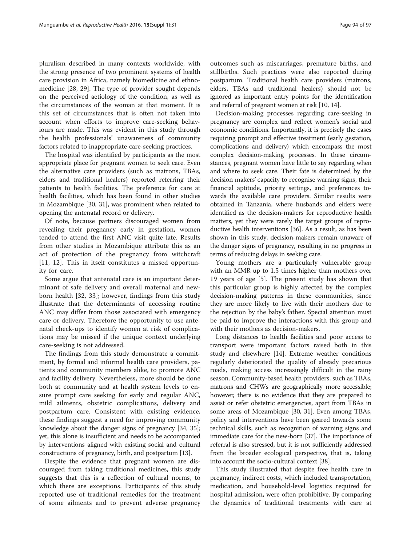pluralism described in many contexts worldwide, with the strong presence of two prominent systems of health care provision in Africa, namely biomedicine and ethnomedicine [[28](#page-13-0), [29](#page-13-0)]. The type of provider sought depends on the perceived aetiology of the condition, as well as the circumstances of the woman at that moment. It is this set of circumstances that is often not taken into account when efforts to improve care-seeking behaviours are made. This was evident in this study through the health professionals' unawareness of community factors related to inappropriate care-seeking practices.

The hospital was identified by participants as the most appropriate place for pregnant women to seek care. Even the alternative care providers (such as matrons, TBAs, elders and traditional healers) reported referring their patients to health facilities. The preference for care at health facilities, which has been found in other studies in Mozambique [[30, 31\]](#page-13-0), was prominent when related to opening the antenatal record or delivery.

Of note, because partners discouraged women from revealing their pregnancy early in gestation, women tended to attend the first ANC visit quite late. Results from other studies in Mozambique attribute this as an act of protection of the pregnancy from witchcraft [[11, 12\]](#page-13-0). This in itself constitutes a missed opportunity for care.

Some argue that antenatal care is an important determinant of safe delivery and overall maternal and newborn health [[32, 33\]](#page-13-0); however, findings from this study illustrate that the determinants of accessing routine ANC may differ from those associated with emergency care or delivery. Therefore the opportunity to use antenatal check-ups to identify women at risk of complications may be missed if the unique context underlying care-seeking is not addressed.

The findings from this study demonstrate a commitment, by formal and informal health care providers, patients and community members alike, to promote ANC and facility delivery. Nevertheless, more should be done both at community and at health system levels to ensure prompt care seeking for early and regular ANC, mild ailments, obstetric complications, delivery and postpartum care. Consistent with existing evidence, these findings suggest a need for improving community knowledge about the danger signs of pregnancy [\[34, 35](#page-13-0)]; yet, this alone is insufficient and needs to be accompanied by interventions aligned with existing social and cultural constructions of pregnancy, birth, and postpartum [\[13](#page-13-0)].

Despite the evidence that pregnant women are discouraged from taking traditional medicines, this study suggests that this is a reflection of cultural norms, to which there are exceptions. Participants of this study reported use of traditional remedies for the treatment of some ailments and to prevent adverse pregnancy outcomes such as miscarriages, premature births, and stillbirths. Such practices were also reported during postpartum. Traditional health care providers (matrons, elders, TBAs and traditional healers) should not be ignored as important entry points for the identification and referral of pregnant women at risk [\[10, 14\]](#page-13-0).

Decision-making processes regarding care-seeking in pregnancy are complex and reflect women's social and economic conditions. Importantly, it is precisely the cases requiring prompt and effective treatment (early gestation, complications and delivery) which encompass the most complex decision-making processes. In these circumstances, pregnant women have little to say regarding when and where to seek care. Their fate is determined by the decision makers' capacity to recognise warning signs, their financial aptitude, priority settings, and preferences towards the available care providers. Similar results were obtained in Tanzania, where husbands and elders were identified as the decision-makers for reproductive health matters, yet they were rarely the target groups of reproductive health interventions [\[36\]](#page-13-0). As a result, as has been shown in this study, decision-makers remain unaware of the danger signs of pregnancy, resulting in no progress in terms of reducing delays in seeking care.

Young mothers are a particularly vulnerable group with an MMR up to 1.5 times higher than mothers over 19 years of age [[5](#page-13-0)]. The present study has shown that this particular group is highly affected by the complex decision-making patterns in these communities, since they are more likely to live with their mothers due to the rejection by the baby's father. Special attention must be paid to improve the interactions with this group and with their mothers as decision-makers.

Long distances to health facilities and poor access to transport were important factors raised both in this study and elsewhere [\[14](#page-13-0)]. Extreme weather conditions regularly deteriorated the quality of already precarious roads, making access increasingly difficult in the rainy season. Community-based health providers, such as TBAs, matrons and CHWs are geographically more accessible; however, there is no evidence that they are prepared to assist or refer obstetric emergencies, apart from TBAs in some areas of Mozambique [\[30, 31](#page-13-0)]. Even among TBAs, policy and interventions have been geared towards some technical skills, such as recognition of warning signs and immediate care for the new-born [\[37\]](#page-13-0). The importance of referral is also stressed, but it is not sufficiently addressed from the broader ecological perspective, that is, taking into account the socio-cultural context [[38](#page-13-0)].

This study illustrated that despite free health care in pregnancy, indirect costs, which included transportation, medication, and household-level logistics required for hospital admission, were often prohibitive. By comparing the dynamics of traditional treatments with care at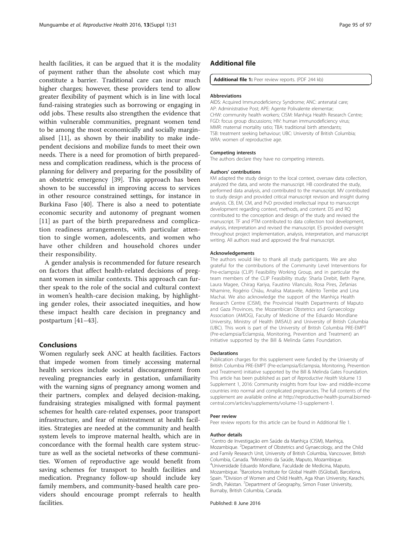<span id="page-12-0"></span>health facilities, it can be argued that it is the modality of payment rather than the absolute cost which may constitute a barrier. Traditional care can incur much higher charges; however, these providers tend to allow greater flexibility of payment which is in line with local fund-raising strategies such as borrowing or engaging in odd jobs. These results also strengthen the evidence that within vulnerable communities, pregnant women tend to be among the most economically and socially marginalised [[11\]](#page-13-0), as shown by their inability to make independent decisions and mobilize funds to meet their own needs. There is a need for promotion of birth preparedness and complication readiness, which is the process of planning for delivery and preparing for the possibility of an obstetric emergency [\[39\]](#page-13-0). This approach has been shown to be successful in improving access to services in other resource constrained settings, for instance in Burkina Faso [\[40](#page-13-0)]. There is also a need to potentiate economic security and autonomy of pregnant women [[11\]](#page-13-0) as part of the birth preparedness and complication readiness arrangements, with particular attention to single women, adolescents, and women who have other children and household chores under their responsibility.

A gender analysis is recommended for future research on factors that affect health-related decisions of pregnant women in similar contexts. This approach can further speak to the role of the social and cultural context in women's health-care decision making, by highlighting gender roles, their associated inequities, and how these impact health care decision in pregnancy and postpartum [[41](#page-13-0)–[43](#page-14-0)].

#### **Conclusions**

Women regularly seek ANC at health facilities. Factors that impede women from timely accessing maternal health services include societal discouragement from revealing pregnancies early in gestation, unfamiliarity with the warning signs of pregnancy among women and their partners, complex and delayed decision-making, fundraising strategies misaligned with formal payment schemes for health care-related expenses, poor transport infrastructure, and fear of mistreatment at health facilities. Strategies are needed at the community and health system levels to improve maternal health, which are in concordance with the formal health care system structure as well as the societal networks of these communities. Women of reproductive age would benefit from saving schemes for transport to health facilities and medication. Pregnancy follow-up should include key family members, and community-based health care providers should encourage prompt referrals to health facilities.

#### Additional file

[Additional file 1:](dx.doi.org/10.1186/s12978-016-0141-0) Peer review reports. (PDF 244 kb)

#### Abbreviations

AIDS: Acquired Immunodeficiency Syndrome; ANC: antenatal care; AP: Administrative Post; APE: Agente Polivalente elementar; CHW: community health workers; CISM: Manhiça Health Research Centre; FGD: focus group discussions; HIV: human immunodeficiency virus; MMR: maternal mortality ratio; TBA: traditional birth attendants; TSB: treatment seeking behaviour; UBC: University of British Columbia; WRA: women of reproductive age.

#### Competing interests

The authors declare they have no competing interests.

#### Authors' contributions

KM adapted the study design to the local context, oversaw data collection, analyzed the data, and wrote the manuscript. HB coordinated the study, performed data analysis, and contributed to the manuscript. MV contributed to study design and provided critical manuscript revision and insight during analysis. CB, EM, CM, and PvD provided intellectual input to manuscript development regarding context, methods, and content. DS and RQ contributed to the conception and design of the study and revised the manuscript. TF and PTM contributed to data collection tool development, analysis, interpretation and revised the manuscript. ES provided oversight throughout project implementation, analysis, interpretation, and manuscript writing. All authors read and approved the final manuscript.

#### Acknowledgements

The authors would like to thank all study participants. We are also grateful for the contributions of the Community Level Interventions for Pre-eclampsia (CLIP) Feasibility Working Group, and in particular the team members of the CLIP Feasibility study: Sharla Drebit, Beth Payne, Laura Magee, Chirag Kariya, Faustino Vilanculo, Rosa Pires, Zefanias Nhamirre, Rogério Chiáu, Analisa Matavele, Adérito Tembe and Lina Machai. We also acknowledge the support of the Manhiça Health Research Centre (CISM), the Provincial Health Departments of Maputo and Gaza Provinces, the Mozambican Obstetrics and Gynaecology Association (AMOG), Faculty of Medicine of the Eduardo Mondlane University, Ministry of Health (MISAU) and University of British Columbia (UBC). This work is part of the University of British Columbia PRE-EMPT (Pre-eclampsia/Eclampsia, Monitoring, Prevention and Treatment) an initiative supported by the Bill & Melinda Gates Foundation.

#### Declarations

Publication charges for this supplement were funded by the University of British Columbia PRE-EMPT (Pre-eclampsia/Eclampsia, Monitoring, Prevention and Treatment) initiative supported by the Bill & Melinda Gates Foundation. This article has been published as part of Reproductive Health Volume 13 Supplement 1, 2016: Community insights from four low- and middle-income countries into normal and complicated pregnancies. The full contents of the supplement are available online at [http://reproductive-health-journal.biomed](http://reproductive-health-journal.biomedcentral.com/articles/supplements/volume-13-supplement-1)[central.com/articles/supplements/volume-13-supplement-1](http://reproductive-health-journal.biomedcentral.com/articles/supplements/volume-13-supplement-1).

#### Peer review

Peer review reports for this article can be found in Additional file 1.

#### Author details

<sup>1</sup> Centro de Investigação em Saúde da Manhiça (CISM), Manhiça, Mozambique. <sup>2</sup>Department of Obstetrics and Gynaecology, and the Child and Family Research Unit, University of British Columbia, Vancouver, British Columbia, Canada. <sup>3</sup> Ministério da Saúde, Maputo, Mozambique. <sup>4</sup> Universidade Eduardo Mondlane, Faculdade de Medicina, Maputo, Mozambique. <sup>5</sup>Barcelona Institute for Global Health (ISGlobal), Barcelona Spain. <sup>6</sup> Division of Women and Child Health, Aga Khan University, Karachi Sindh, Pakistan. <sup>7</sup> Department of Geography, Simon Fraser University Burnaby, British Columbia, Canada.

Published: 8 June 2016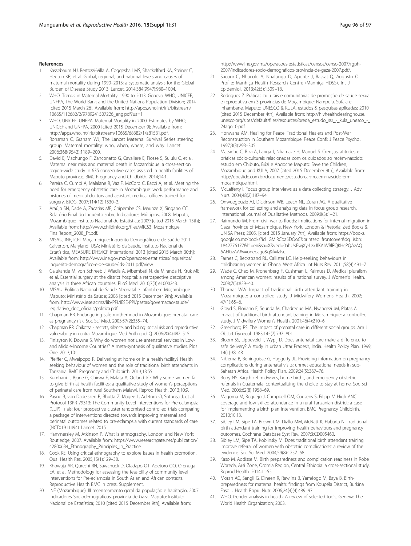#### <span id="page-13-0"></span>References

- Kassebaum NJ, Bertozzi-Villa A, Coggeshall MS, Shackelford KA, Steiner C, Heuton KR, et al. Global, regional, and national levels and causes of maternal mortality during 1990–2013: a systematic analysis for the Global Burden of Disease Study 2013. Lancet. 2014;384(9947):980–1004.
- 2. WHO. Trends in Maternal Mortality: 1990 to 2013. Geneva: WHO, UNICEF, UNFPA, The World Bank and the United Nations Population Division; 2014 [cited 2015 March 26]; Available from: [http://apps.who.int/iris/bitstream/](http://apps.who.int/iris/bitstream/10665/112682/2/9789241507226_eng.pdf?ua=1) [10665/112682/2/9789241507226\\_eng.pdf?ua=1.](http://apps.who.int/iris/bitstream/10665/112682/2/9789241507226_eng.pdf?ua=1)
- 3. WHO, UNICEF, UNFPA. Maternal Mortality in 2000: Estimates by WHO, UNICEF and UNFPA. 2000 [cited 2015 December 9]; Available from: <http://apps.who.int/iris/bitstream/10665/68382/1/a81531.pdf>.
- 4. Ronsman C, Graham WJ, The Lancet Maternal Survival Series steering group. Maternal mortality: who, when, where, and why. Lancet. 2006;368(9542):1189–200.
- David E, Machungo F, Zanconatto G, Cavaliere E, Fiosse S, Sululu C, et al. Maternal near miss and maternal death in Mozambique: a cross-section region-wide study in 635 consecutive cases assisted in health facilities of Maputo province. BMC Pregnancy and Childbirth. 2014;14:1.
- 6. Pereira C, Cumbi A, Malalane R, Vaz F, McCord C, Bacci A, et al. Meeting the need for emergency obstetric care in Mozambique: work performance and histories of medical doctors and assistant medical officers trained for surgery. BJOG. 2007;114(12):1530–3.
- Araújo SN, Dade A, Zacarias MF, Chipembe CS, Maunze X, Singano CC. Relatório Final do Inquérito sobre Indicadores Múltiplos, 2008. Maputo, Mozambique: Instituto Nacional de Estatística; 2009 [cited 2015 March 15th]; Available from: [http://www.childinfo.org/files/MICS3\\_Mozambique\\_](http://www.childinfo.org/files/MICS3_Mozambique_FinalReport_2008_Pt.pdf) [FinalReport\\_2008\\_Pt.pdf.](http://www.childinfo.org/files/MICS3_Mozambique_FinalReport_2008_Pt.pdf)
- 8. MISAU, INE, ICFI. Moçambique: Inquérito Demográfico e de Saúde 2011. Calverton, Maryland, USA: Ministério da Saúde, Instituto Nacional de Estatísitica, MEASURE DHS/ICF International 2013 [cited 2015 March 30th]; Available from: [http://www.ine.gov.mz/operacoes-estatisticas/inqueritos/](http://www.ine.gov.mz/operacoes-estatisticas/inqueritos/inquerito-demografico-e-de-saude/ids-2011.pdf/view) [inquerito-demografico-e-de-saude/ids-2011.pdf/view.](http://www.ine.gov.mz/operacoes-estatisticas/inqueritos/inquerito-demografico-e-de-saude/ids-2011.pdf/view)
- Galukande M, von Schreeb J, Wladis A, Mbembati N, de Miranda H, Kruk ME, et al. Essential surgery at the district hospital: a retrospective descriptive analysis in three African countries. PLoS Med. 2010;7(3):e1000243.
- 10. MISAU. Política Nacional de Saúde Neonatal e Infantil em Moçambique. Maputo: Ministério da Saúde; 2006 [cited 2015 December 9th]; Available from: [http://www.iese.ac.mz/lib/PPI/IESE-PPI/pastas/governacao/saude/](http://www.iese.ac.mz/lib/PPI/IESE-PPI/pastas/governacao/saude/legislativo_doc_oficiais/politica.pdf) [legislativo\\_doc\\_oficiais/politica.pdf](http://www.iese.ac.mz/lib/PPI/IESE-PPI/pastas/governacao/saude/legislativo_doc_oficiais/politica.pdf).
- 11. Chapman RR. Endangering safe motherhood in Mozambique: prenatal care as pregnancy risk. Soc Sci Med. 2003;57(2):355–74.
- 12. Chapman RR. Chikotsa secrets, silence, and hiding: social risk and reproductive vulnerability in central Mozambique. Med Anthropol Q. 2006;20(4):487–515.
- 13. Finlayson K, Downe S. Why do women not use antenatal services in Lowand Middle-Income Countries? A meta-synthesis of qualitative studies. Plos One. 2013;10:1.
- 14. Pfeiffer C, Mwaipopo R. Delivering at home or in a health facility? Health seeking behaviour of women and the role of traditional birth attendants in Tanzania. BMC Pregnancy and Childbirth. 2013;13:55.
- 15. Kumbani L, Bjune G, Chirwa E, Malata A, Odland JO. Why some women fail to give birth at health facilities: a qualitative study of women's perceptions of perinatal care from rural Southern Malawi. Reprod Health. 2013;10:9.
- 16. Payne B, von Dadelszen P, Bhutta Z, Magee L, Adetoro O, Sotunsa J, et al. Protocol 13PRT/9313: The Community Level Interventions for Pre-eclampsia (CLIP) Trials: four prospective cluster randomised controlled trials comparing a package of interventions directed towards improving maternal and perinatal outcomes related to pre-eclampsia with current standards of care (NCT01911494). Lancet. 2015.
- 17. Hammersley M, Atkinson P. What is ethnography. London and New York: Routledge; 2007. Available from: [https://www.researchgate.net/publication/](https://www.researchgate.net/publication/42800634_Ethnography_Principles_In_Practice) [42800634\\_Ethnography\\_Principles\\_In\\_Practice](https://www.researchgate.net/publication/42800634_Ethnography_Principles_In_Practice).
- 18. Cook KE. Using critical ethnography to explore issues in health promotion. Qual Health Res. 2005;15(1):129–38.
- 19. Khowaja AR, Qureshi RN, Sawchuck D, Oladapo OT, Adetoro OO, Orenuga EA, et al. Methodology for assessing the feasibility of community level interventions for Pre-eclampsia in South Asian and African contexts. Reproductive Health BMC in press. Supplement.
- 20. INE (Mozambique). III recenseamento geral da população e habitação, 2007: Indicadores Sociodemográficos, província de Gaza. Maputo: Instituto Nacional de Estatística; 2010 [cited 2015 December 9th]; Available from:

[http://www.ine.gov.mz/operacoes-estatisticas/censos/censo-2007/rgph-](http://www.ine.gov.mz/operacoes-estatisticas/censos/censo-2007/rgph-2007/indicadores-socio-demograficos-provincia-de-gaza-2007.pdf/)[2007/indicadores-socio-demograficos-provincia-de-gaza-2007.pdf/.](http://www.ine.gov.mz/operacoes-estatisticas/censos/censo-2007/rgph-2007/indicadores-socio-demograficos-provincia-de-gaza-2007.pdf/)

- 21. Sacoor C, Nhacolo A, Nhalungo D, Aponte J, Bassat Q, Augusto O. Profile: Manhiça Health Research Centre (Manhiça HDSS). Int J Epidemiol. 2013;42(5):1309–18.
- 22. Rodrigues Z. Práticas culturais e comunitárias de promoção de saúde sexual e reprodutiva em 3 províncias de Moçambique: Nampula, Sofala e Inhambane. Maputo: UNESCO & KULA, estudos & pesquisas aplicadas; 2010 [cited 2015 December 4th]; Available from: [http://hivhealthclearinghouse.](http://hivhealthclearinghouse.unesco.org/sites/default/files/resources/breda_estudo_ssr_-_kula_unesco_-_24ago10.pdf) [unesco.org/sites/default/files/resources/breda\\_estudo\\_ssr\\_-\\_kula\\_unesco\\_-\\_](http://hivhealthclearinghouse.unesco.org/sites/default/files/resources/breda_estudo_ssr_-_kula_unesco_-_24ago10.pdf) [24ago10.pdf.](http://hivhealthclearinghouse.unesco.org/sites/default/files/resources/breda_estudo_ssr_-_kula_unesco_-_24ago10.pdf)
- 23. Honwana AM. Healing for Peace: Traditional Healers and Post-War Reconstruction in Southern Mozambique. Peace Confl: J Peace Psychol. 1997;3(3):293–305.
- 24. Matsinhe C, Biza A, Langa J, Nhamaze H, Manuel S. Crenças, atitudes e práticas sócio-culturais relacionadas com os cuidados ao recém-nascido: estudo em Chibuto, Búzi e Angoche Maputo: Save the Children, Mozambique and KULA; 2007 [cited 2015 December 9th]; Available from: [http://docslide.com.br/documents/estudo-cap-recem-nascido-em](http://docslide.com.br/documents/estudo-cap-recem-nascido-em-mocambique.html)[mocambique.html](http://docslide.com.br/documents/estudo-cap-recem-nascido-em-mocambique.html).
- 25. McLafferty I. Focus group interviews as a data collecting strategy. J Adv Nurs. 2004;48(2):187–94.
- 26. Onwuegbuzie AJ, Dickinson WB, Leech NL, Zoran AG. A qualitative framework for collecting and analyzing data in focus group research. International Journal of Qualitative Methods. 2009;8(3):1–21.
- 27. Raimundo IM. From civil war to floods: implications for internal migration in Gaza Province of Mozambique. New York, London & Pretoria: Zed Books & UNISA Press; 2005. [cited 2015 January 7th], Available from: [https://books.](https://books.google.co.mz/books?id=GMlRCoa5DQoC&printsec=frontcover&dq=isbn:1842776177&hl=en&sa=X&ved=0ahUKEwjXy-LzxJfKAhVBlRQKHcPQAzAQ6AEIGzAA#v=onepage&q&f=false) [google.co.mz/books?id=GMlRCoa5DQoC&printsec=frontcover&dq=isbn:](https://books.google.co.mz/books?id=GMlRCoa5DQoC&printsec=frontcover&dq=isbn:1842776177&hl=en&sa=X&ved=0ahUKEwjXy-LzxJfKAhVBlRQKHcPQAzAQ6AEIGzAA#v=onepage&q&f=false) [1842776177&hl=en&sa=X&ved=0ahUKEwjXy-LzxJfKAhVBlRQKHcPQAzAQ](https://books.google.co.mz/books?id=GMlRCoa5DQoC&printsec=frontcover&dq=isbn:1842776177&hl=en&sa=X&ved=0ahUKEwjXy-LzxJfKAhVBlRQKHcPQAzAQ6AEIGzAA#v=onepage&q&f=false) [6AEIGzAA#v=onepage&q&f=false.](https://books.google.co.mz/books?id=GMlRCoa5DQoC&printsec=frontcover&dq=isbn:1842776177&hl=en&sa=X&ved=0ahUKEwjXy-LzxJfKAhVBlRQKHcPQAzAQ6AEIGzAA#v=onepage&q&f=false)
- 28. Farnes C, Beckstrand RL, Callister LC. Help-seeking behaviours in childbearing women in Ghana. West Africa. Int Nurs Rev. 2011;58(4):491–7.
- 29. Wade C, Chao M, Kronenberg F, Cushman L, Kalmuss D. Medical pluralism among American women: results of a national survey. J Women's Health. 2008;7(5):829–40.
- 30. Thomas WW. Impact of traditional birth attendant training in Mozambique: a controlled study. J Midwifery Womens Health. 2002; 47(1):65–6.
- 31. Gloyd S, Floriano F, Seunda M, Chadreque MA, Nyangezi JM, Platas A. Impact of traditional birth attendant training in Mozambique: a controlled study. J Midwifery Women's Health. 2001;46(4):210–6.
- Greenberg RS. The impact of prenatal care in different social groups. Am J Obstet Gynecol. 1983;145(7):797–801.
- 33. Bloom SS, Lippeveld T, Wypij D. Does antenatal care make a difference to safe delivery? A study in urban Uttar Pradesh, India. Health Policy Plan. 1999; 14(1):38–48.
- 34. Nikiema B, Beninguisse G, Haggerty JL. Providing information on pregnancy complications during antenatal visits: unmet educational needs in sub-Saharan Africa. Health Policy Plan. 2009;24(5):367–76.
- 35. Berry NS. Kaqchikel midwives, home births, and emergency obstetric referrals in Guatemala: contextualizing the choice to stay at home. Soc Sci Med. 2006;62(8):1958–69.
- 36. Magoma M, Requejo J, Campbell OM, Cousens S, Filippi V. High ANC coverage and low skilled attendance in a rural Tanzanian district: a case for implementing a birth plan intervention. BMC Pregnancy Childbirth. 2010;10:13.
- 37. Sibley LM, Sipe TA, Brown CM, Diallo MM, McNatt K, Habarta N. Traditional birth attendant training for improving health behaviours and pregnancy outcomes. Cochrane Database Syst Rev. 2007;3:CD005460.
- Sibley LM, Sipe TA, Koblinsky M. Does traditional birth attendant training improve referral of women with obstetric complications: a review of the evidence. Soc Sci Med. 2004;59(8):1757–68.
- 39. Kaso M, Addisse M. Birth preparedness and complication readiness in Robe Woreda, Arsi Zone, Oromia Region, Central Ethiopia: a cross-sectional study. Reprod Health. 2014;11:55.
- 40. Moran AC, Sangli G, Dineen R, Rawlins B, Yaméogo M, Baya B. Birthpreparedness for maternal health: findings from Koupéla District, Burkina Faso. J Health Popul Nutr. 2006;24(4)(4):489–97.
- 41. WHO. Gender analysis in health: A review of selected tools. Geneva: The World Health Organization; 2003.